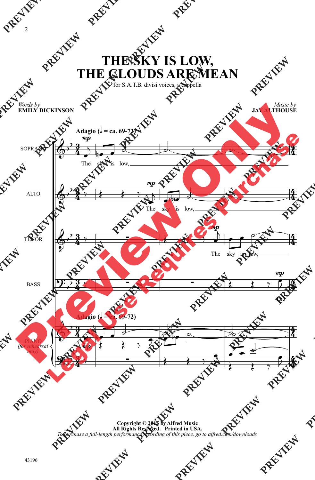## **THE SKY IS LOW, THE CLOUDS ARE MEAN**

for S.A.T.B. divisi voices, a cappella

*Music by*

*Words by* **EMILY DICKINSON**



**Copyright © 2015 by Alfred Music All Rights Reserved. Printed in USA.** *To purchase a full-length performance recording of this piece, go to alfred.com/downloads*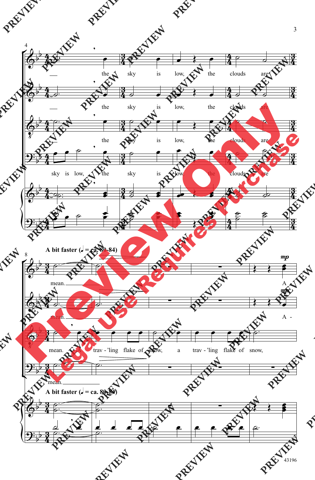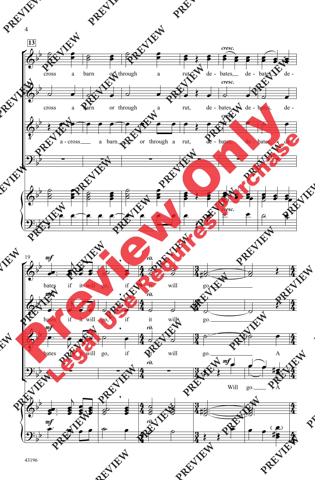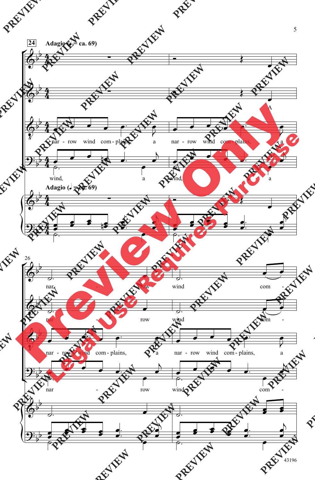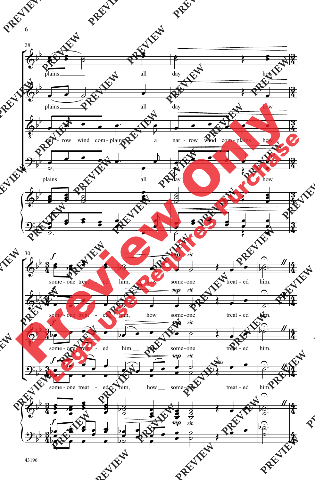

6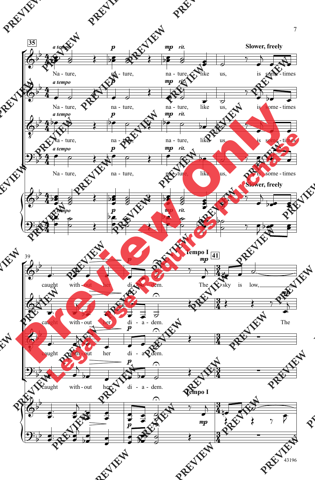